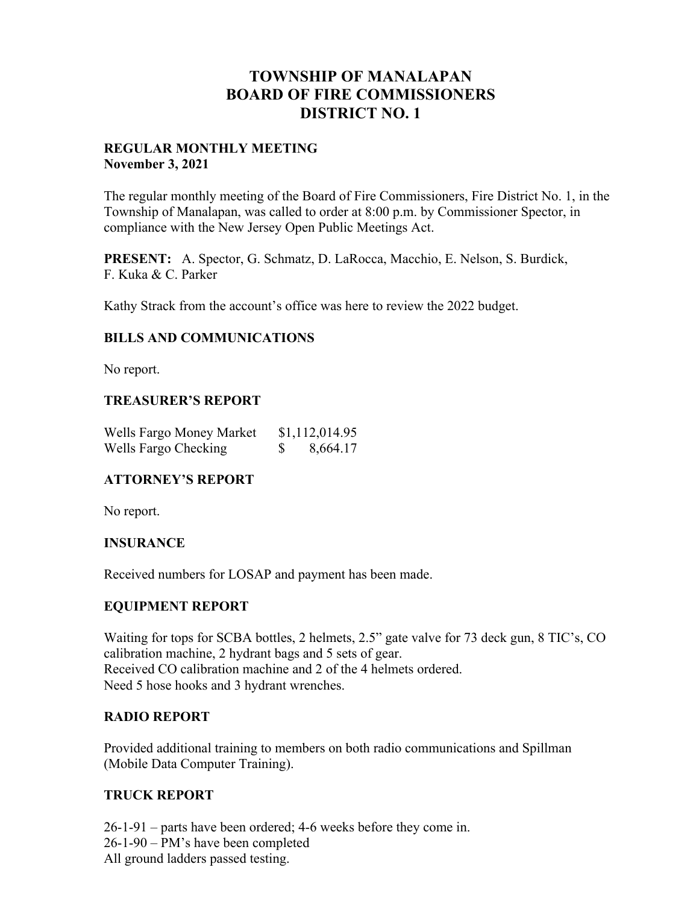## **TOWNSHIP OF MANALAPAN BOARD OF FIRE COMMISSIONERS DISTRICT NO. 1**

#### **REGULAR MONTHLY MEETING November 3, 2021**

The regular monthly meeting of the Board of Fire Commissioners, Fire District No. 1, in the Township of Manalapan, was called to order at 8:00 p.m. by Commissioner Spector, in compliance with the New Jersey Open Public Meetings Act.

**PRESENT:** A. Spector, G. Schmatz, D. LaRocca, Macchio, E. Nelson, S. Burdick, F. Kuka & C. Parker

Kathy Strack from the account's office was here to review the 2022 budget.

### **BILLS AND COMMUNICATIONS**

No report.

### **TREASURER'S REPORT**

| Wells Fargo Money Market | \$1,112,014.95 |
|--------------------------|----------------|
| Wells Fargo Checking     | 8,664.17       |

### **ATTORNEY'S REPORT**

No report.

### **INSURANCE**

Received numbers for LOSAP and payment has been made.

### **EQUIPMENT REPORT**

Waiting for tops for SCBA bottles, 2 helmets, 2.5" gate valve for 73 deck gun, 8 TIC's, CO calibration machine, 2 hydrant bags and 5 sets of gear. Received CO calibration machine and 2 of the 4 helmets ordered. Need 5 hose hooks and 3 hydrant wrenches.

### **RADIO REPORT**

Provided additional training to members on both radio communications and Spillman (Mobile Data Computer Training).

### **TRUCK REPORT**

26-1-91 – parts have been ordered; 4-6 weeks before they come in. 26-1-90 – PM's have been completed All ground ladders passed testing.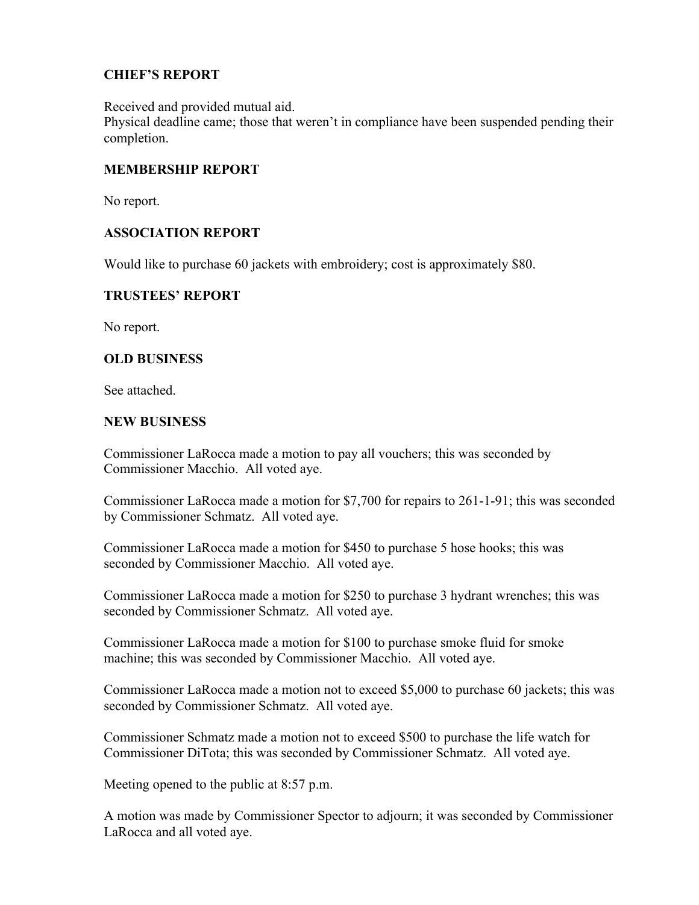### **CHIEF'S REPORT**

Received and provided mutual aid.

Physical deadline came; those that weren't in compliance have been suspended pending their completion.

### **MEMBERSHIP REPORT**

No report.

### **ASSOCIATION REPORT**

Would like to purchase 60 jackets with embroidery; cost is approximately \$80.

### **TRUSTEES' REPORT**

No report.

### **OLD BUSINESS**

See attached.

#### **NEW BUSINESS**

Commissioner LaRocca made a motion to pay all vouchers; this was seconded by Commissioner Macchio. All voted aye.

Commissioner LaRocca made a motion for \$7,700 for repairs to 261-1-91; this was seconded by Commissioner Schmatz. All voted aye.

Commissioner LaRocca made a motion for \$450 to purchase 5 hose hooks; this was seconded by Commissioner Macchio. All voted aye.

Commissioner LaRocca made a motion for \$250 to purchase 3 hydrant wrenches; this was seconded by Commissioner Schmatz. All voted aye.

Commissioner LaRocca made a motion for \$100 to purchase smoke fluid for smoke machine; this was seconded by Commissioner Macchio. All voted aye.

Commissioner LaRocca made a motion not to exceed \$5,000 to purchase 60 jackets; this was seconded by Commissioner Schmatz. All voted aye.

Commissioner Schmatz made a motion not to exceed \$500 to purchase the life watch for Commissioner DiTota; this was seconded by Commissioner Schmatz. All voted aye.

Meeting opened to the public at 8:57 p.m.

A motion was made by Commissioner Spector to adjourn; it was seconded by Commissioner LaRocca and all voted aye.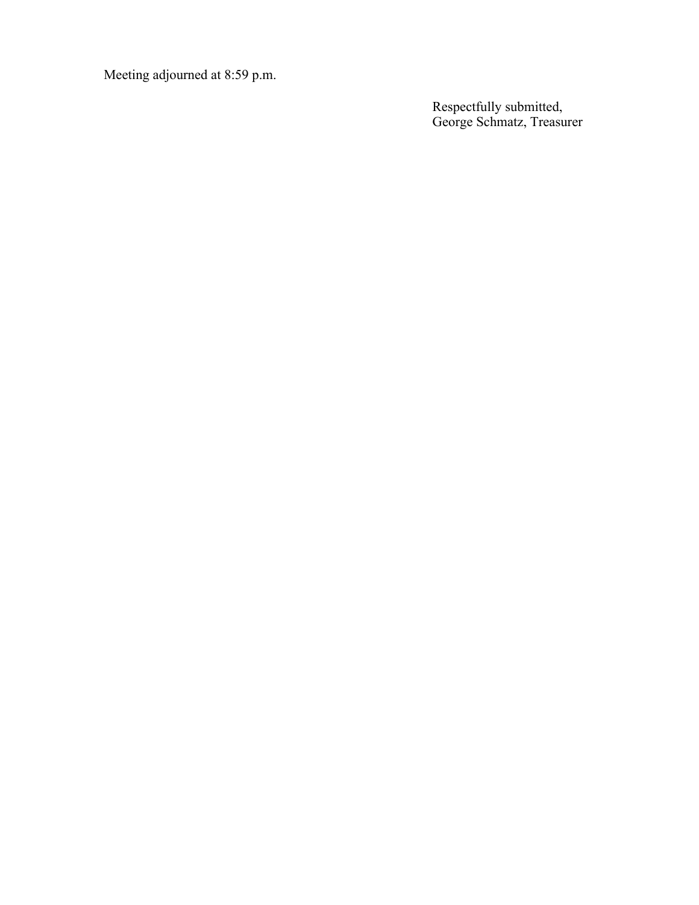Meeting adjourned at 8:59 p.m.

Respectfully submitted, George Schmatz, Treasurer